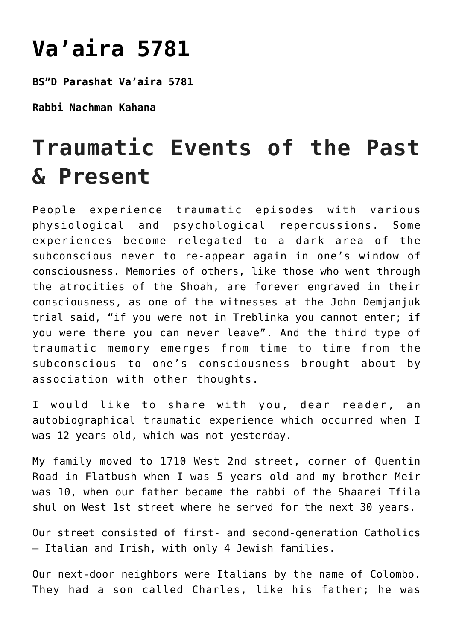## **[Va'aira 5781](https://nachmankahana.com/vaaira-5781/)**

**BS"D Parashat Va'aira 5781**

**Rabbi Nachman Kahana**

## **Traumatic Events of the Past & Present**

People experience traumatic episodes with various physiological and psychological repercussions. Some experiences become relegated to a dark area of the subconscious never to re-appear again in one's window of consciousness. Memories of others, like those who went through the atrocities of the Shoah, are forever engraved in their consciousness, as one of the witnesses at the John Demjanjuk trial said, "if you were not in Treblinka you cannot enter; if you were there you can never leave". And the third type of traumatic memory emerges from time to time from the subconscious to one's consciousness brought about by association with other thoughts.

I would like to share with you, dear reader, an autobiographical traumatic experience which occurred when I was 12 years old, which was not yesterday.

My family moved to 1710 West 2nd street, corner of Quentin Road in Flatbush when I was 5 years old and my brother Meir was 10, when our father became the rabbi of the Shaarei Tfila shul on West 1st street where he served for the next 30 years.

Our street consisted of first- and second-generation Catholics – Italian and Irish, with only 4 Jewish families.

Our next-door neighbors were Italians by the name of Colombo. They had a son called Charles, like his father; he was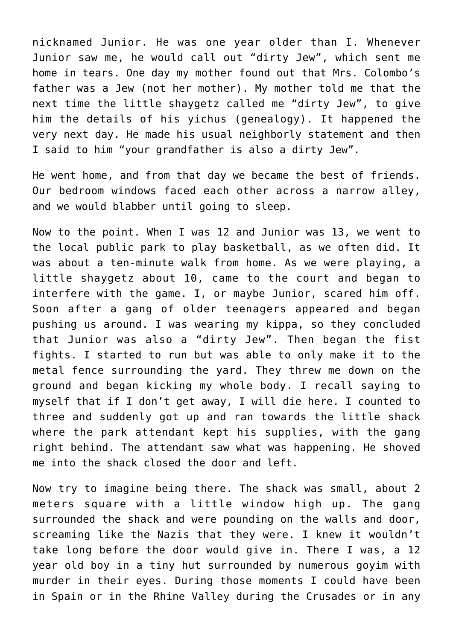nicknamed Junior. He was one year older than I. Whenever Junior saw me, he would call out "dirty Jew", which sent me home in tears. One day my mother found out that Mrs. Colombo's father was a Jew (not her mother). My mother told me that the next time the little shaygetz called me "dirty Jew", to give him the details of his yichus (genealogy). It happened the very next day. He made his usual neighborly statement and then I said to him "your grandfather is also a dirty Jew".

He went home, and from that day we became the best of friends. Our bedroom windows faced each other across a narrow alley, and we would blabber until going to sleep.

Now to the point. When I was 12 and Junior was 13, we went to the local public park to play basketball, as we often did. It was about a ten-minute walk from home. As we were playing, a little shaygetz about 10, came to the court and began to interfere with the game. I, or maybe Junior, scared him off. Soon after a gang of older teenagers appeared and began pushing us around. I was wearing my kippa, so they concluded that Junior was also a "dirty Jew". Then began the fist fights. I started to run but was able to only make it to the metal fence surrounding the yard. They threw me down on the ground and began kicking my whole body. I recall saying to myself that if I don't get away, I will die here. I counted to three and suddenly got up and ran towards the little shack where the park attendant kept his supplies, with the gang right behind. The attendant saw what was happening. He shoved me into the shack closed the door and left.

Now try to imagine being there. The shack was small, about 2 meters square with a little window high up. The gang surrounded the shack and were pounding on the walls and door, screaming like the Nazis that they were. I knew it wouldn't take long before the door would give in. There I was, a 12 year old boy in a tiny hut surrounded by numerous goyim with murder in their eyes. During those moments I could have been in Spain or in the Rhine Valley during the Crusades or in any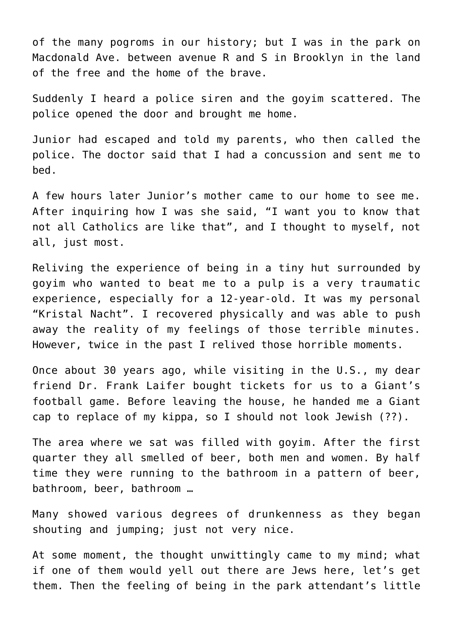of the many pogroms in our history; but I was in the park on Macdonald Ave. between avenue R and S in Brooklyn in the land of the free and the home of the brave.

Suddenly I heard a police siren and the goyim scattered. The police opened the door and brought me home.

Junior had escaped and told my parents, who then called the police. The doctor said that I had a concussion and sent me to bed.

A few hours later Junior's mother came to our home to see me. After inquiring how I was she said, "I want you to know that not all Catholics are like that", and I thought to myself, not all, just most.

Reliving the experience of being in a tiny hut surrounded by goyim who wanted to beat me to a pulp is a very traumatic experience, especially for a 12-year-old. It was my personal "Kristal Nacht". I recovered physically and was able to push away the reality of my feelings of those terrible minutes. However, twice in the past I relived those horrible moments.

Once about 30 years ago, while visiting in the U.S., my dear friend Dr. Frank Laifer bought tickets for us to a Giant's football game. Before leaving the house, he handed me a Giant cap to replace of my kippa, so I should not look Jewish (??).

The area where we sat was filled with goyim. After the first quarter they all smelled of beer, both men and women. By half time they were running to the bathroom in a pattern of beer, bathroom, beer, bathroom …

Many showed various degrees of drunkenness as they began shouting and jumping; just not very nice.

At some moment, the thought unwittingly came to my mind; what if one of them would yell out there are Jews here, let's get them. Then the feeling of being in the park attendant's little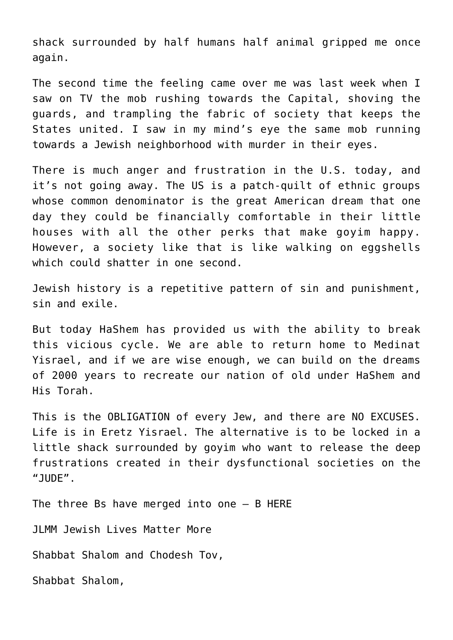shack surrounded by half humans half animal gripped me once again.

The second time the feeling came over me was last week when I saw on TV the mob rushing towards the Capital, shoving the guards, and trampling the fabric of society that keeps the States united. I saw in my mind's eye the same mob running towards a Jewish neighborhood with murder in their eyes.

There is much anger and frustration in the U.S. today, and it's not going away. The US is a patch-quilt of ethnic groups whose common denominator is the great American dream that one day they could be financially comfortable in their little houses with all the other perks that make goyim happy. However, a society like that is like walking on eggshells which could shatter in one second.

Jewish history is a repetitive pattern of sin and punishment, sin and exile.

But today HaShem has provided us with the ability to break this vicious cycle. We are able to return home to Medinat Yisrael, and if we are wise enough, we can build on the dreams of 2000 years to recreate our nation of old under HaShem and His Torah.

This is the OBLIGATION of every Jew, and there are NO EXCUSES. Life is in Eretz Yisrael. The alternative is to be locked in a little shack surrounded by goyim who want to release the deep frustrations created in their dysfunctional societies on the "JUDE".

The three Bs have merged into one – B HERE

JLMM Jewish Lives Matter More

Shabbat Shalom and Chodesh Tov,

Shabbat Shalom,